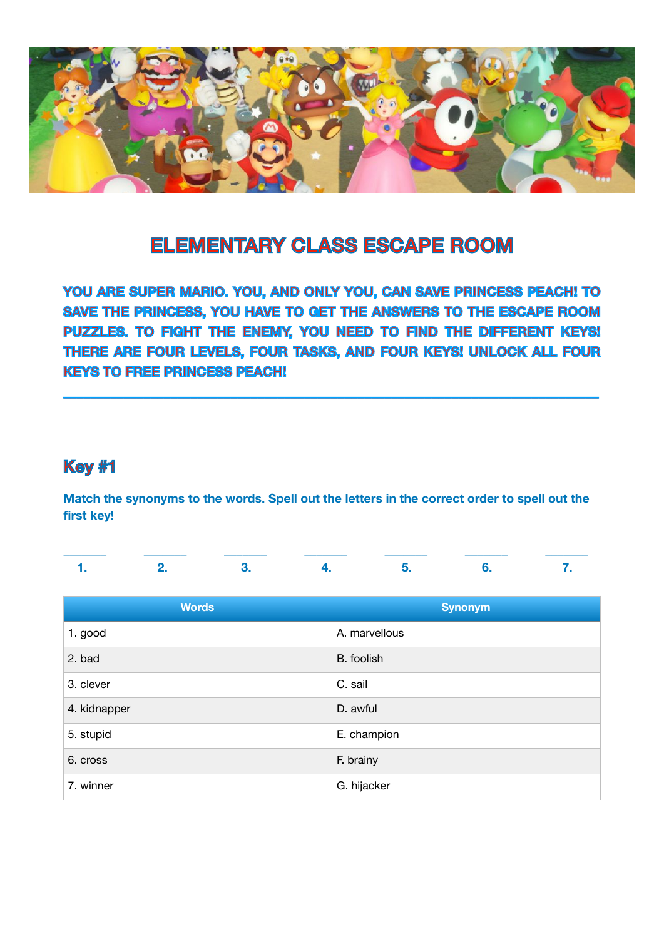

# **ELEMENTARY CLASS ESCAPE ROOM**

**YOU ARE SUPER MARIO. YOU, AND ONLY YOU, CAN SAVE PRINCESS PEACH! TO SAVE THE PRINCESS, YOU HAVE TO GET THE ANSWERS TO THE ESCAPE ROOM PUZZLES. TO FIGHT THE ENEMY, YOU NEED TO FIND THE DIFFERENT KEYS! THERE ARE FOUR LEVELS, FOUR TASKS, AND FOUR KEYS! UNLOCK ALL FOUR KEYS TO FREE PRINCESS PEACH!** 

**\_\_\_\_\_\_\_\_\_\_\_\_\_\_\_\_\_\_\_\_\_\_\_\_\_\_\_\_\_\_\_\_\_\_\_\_\_\_\_\_\_\_\_\_\_\_\_\_\_\_\_\_\_\_\_\_\_\_\_\_\_\_\_\_\_\_\_\_\_\_\_\_\_\_\_\_\_\_\_\_** 

### **Key #1**

**Match the synonyms to the words. Spell out the letters in the correct order to spell out the first key!** 

| <b>Words</b> | <b>Synonym</b> |
|--------------|----------------|
| 1. good      | A. marvellous  |
| 2. bad       | B. foolish     |
| 3. clever    | C. sail        |
| 4. kidnapper | D. awful       |
| 5. stupid    | E. champion    |
| 6. cross     | F. brainy      |
| 7. winner    | G. hijacker    |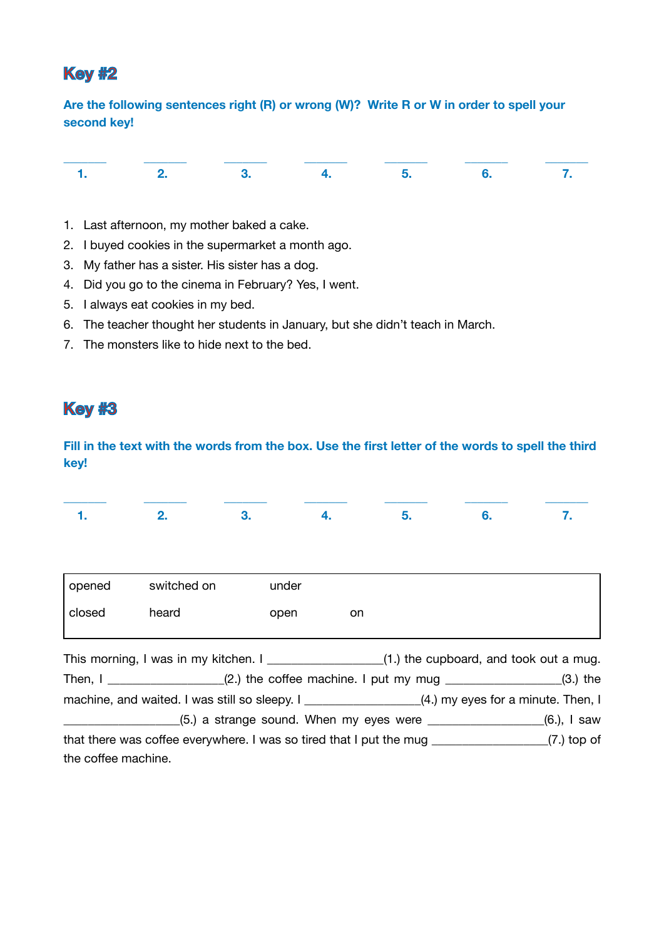### **Key #2**

**Are the following sentences right (R) or wrong (W)? Write R or W in order to spell your second key!** 

- 1. Last afternoon, my mother baked a cake.
- 2. I buyed cookies in the supermarket a month ago.
- 3. My father has a sister. His sister has a dog.
- 4. Did you go to the cinema in February? Yes, I went.
- 5. I always eat cookies in my bed.
- 6. The teacher thought her students in January, but she didn't teach in March.
- 7. The monsters like to hide next to the bed.

### **Key #3**

**Fill in the text with the words from the box. Use the first letter of the words to spell the third key!** 

|                     | 2.                                                                                                  | 3.    | 4.  | 5. | 6.                                                                     | 7. |
|---------------------|-----------------------------------------------------------------------------------------------------|-------|-----|----|------------------------------------------------------------------------|----|
|                     |                                                                                                     |       |     |    |                                                                        |    |
| opened              | switched on                                                                                         | under |     |    |                                                                        |    |
| closed              | heard                                                                                               | open  | on. |    |                                                                        |    |
|                     | This morning, I was in my kitchen. I __________________(1.) the cupboard, and took out a mug.       |       |     |    |                                                                        |    |
|                     | Then, $I_{\text{max}}$ (2.) the coffee machine. I put my mug $\text{max}$ (3.) the                  |       |     |    |                                                                        |    |
|                     | machine, and waited. I was still so sleepy. I ___________________(4.) my eyes for a minute. Then, I |       |     |    |                                                                        |    |
|                     |                                                                                                     |       |     |    | $(5.)$ a strange sound. When my eyes were $\qquad \qquad (6.)$ , I saw |    |
|                     | that there was coffee everywhere. I was so tired that I put the mug ___________________(7.) top of  |       |     |    |                                                                        |    |
| the coffee machine. |                                                                                                     |       |     |    |                                                                        |    |